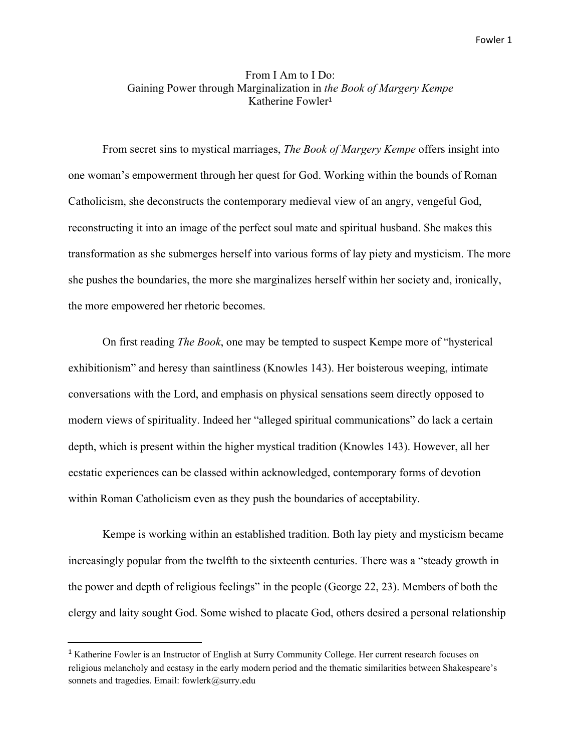## From I Am to I Do: Gaining Power through Marginalization in *the Book of Margery Kempe* Katherine Fowler 1

From secret sins to mystical marriages, *The Book of Margery Kempe* offers insight into one woman's empowerment through her quest for God. Working within the bounds of Roman Catholicism, she deconstructs the contemporary medieval view of an angry, vengeful God, reconstructing it into an image of the perfect soul mate and spiritual husband. She makes this transformation as she submerges herself into various forms of lay piety and mysticism. The more she pushes the boundaries, the more she marginalizes herself within her society and, ironically, the more empowered her rhetoric becomes.

On first reading *The Book*, one may be tempted to suspect Kempe more of "hysterical exhibitionism" and heresy than saintliness (Knowles 143). Her boisterous weeping, intimate conversations with the Lord, and emphasis on physical sensations seem directly opposed to modern views of spirituality. Indeed her "alleged spiritual communications" do lack a certain depth, which is present within the higher mystical tradition (Knowles 143). However, all her ecstatic experiences can be classed within acknowledged, contemporary forms of devotion within Roman Catholicism even as they push the boundaries of acceptability.

Kempe is working within an established tradition. Both lay piety and mysticism became increasingly popular from the twelfth to the sixteenth centuries. There was a "steady growth in the power and depth of religious feelings" in the people (George 22, 23). Members of both the clergy and laity sought God. Some wished to placate God, others desired a personal relationship

<sup>1</sup> Katherine Fowler is an Instructor of English at Surry Community College. Her current research focuses on religious melancholy and ecstasy in the early modern period and the thematic similarities between Shakespeare's sonnets and tragedies. Email: fowlerk@surry.edu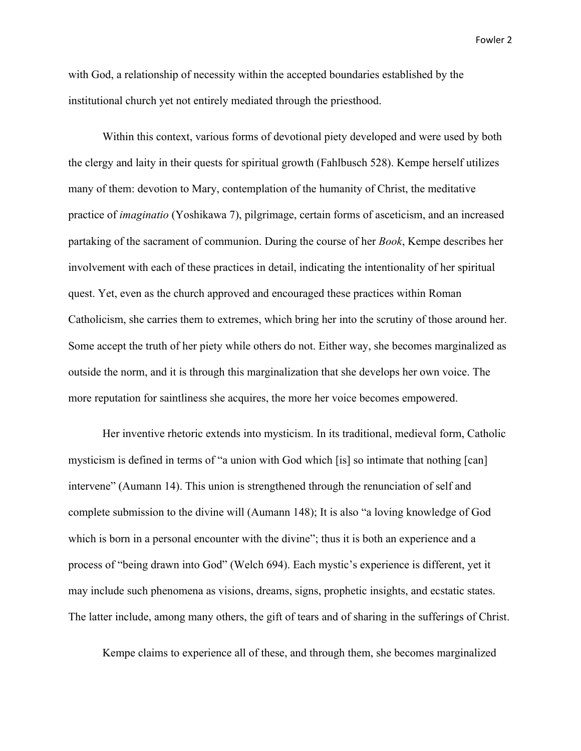with God, a relationship of necessity within the accepted boundaries established by the institutional church yet not entirely mediated through the priesthood.

Within this context, various forms of devotional piety developed and were used by both the clergy and laity in their quests for spiritual growth (Fahlbusch 528). Kempe herself utilizes many of them: devotion to Mary, contemplation of the humanity of Christ, the meditative practice of *imaginatio* (Yoshikawa 7), pilgrimage, certain forms of asceticism, and an increased partaking of the sacrament of communion. During the course of her *Book*, Kempe describes her involvement with each of these practices in detail, indicating the intentionality of her spiritual quest. Yet, even as the church approved and encouraged these practices within Roman Catholicism, she carries them to extremes, which bring her into the scrutiny of those around her. Some accept the truth of her piety while others do not. Either way, she becomes marginalized as outside the norm, and it is through this marginalization that she develops her own voice. The more reputation for saintliness she acquires, the more her voice becomes empowered.

Her inventive rhetoric extends into mysticism. In its traditional, medieval form, Catholic mysticism is defined in terms of "a union with God which [is] so intimate that nothing [can] intervene" (Aumann 14). This union is strengthened through the renunciation of self and complete submission to the divine will (Aumann 148); It is also "a loving knowledge of God which is born in a personal encounter with the divine"; thus it is both an experience and a process of "being drawn into God" (Welch 694). Each mystic's experience is different, yet it may include such phenomena as visions, dreams, signs, prophetic insights, and ecstatic states. The latter include, among many others, the gift of tears and of sharing in the sufferings of Christ.

Kempe claims to experience all of these, and through them, she becomes marginalized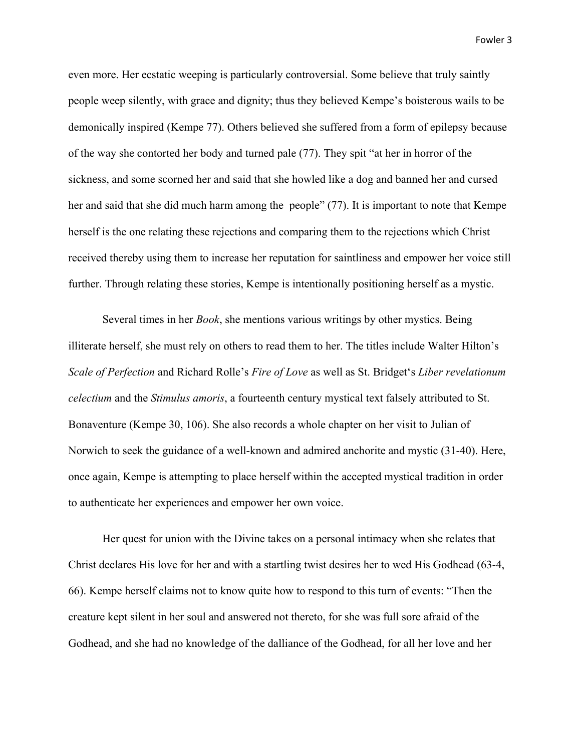even more. Her ecstatic weeping is particularly controversial. Some believe that truly saintly people weep silently, with grace and dignity; thus they believed Kempe's boisterous wails to be demonically inspired (Kempe 77). Others believed she suffered from a form of epilepsy because of the way she contorted her body and turned pale (77). They spit "at her in horror of the sickness, and some scorned her and said that she howled like a dog and banned her and cursed her and said that she did much harm among the people" (77). It is important to note that Kempe herself is the one relating these rejections and comparing them to the rejections which Christ received thereby using them to increase her reputation for saintliness and empower her voice still further. Through relating these stories, Kempe is intentionally positioning herself as a mystic.

Several times in her *Book*, she mentions various writings by other mystics. Being illiterate herself, she must rely on others to read them to her. The titles include Walter Hilton's *Scale of Perfection* and Richard Rolle's *Fire of Love* as well as St. Bridget's *Liber revelationum celectium* and the *Stimulus amoris*, a fourteenth century mystical text falsely attributed to St. Bonaventure (Kempe 30, 106). She also records a whole chapter on her visit to Julian of Norwich to seek the guidance of a well-known and admired anchorite and mystic (31-40). Here, once again, Kempe is attempting to place herself within the accepted mystical tradition in order to authenticate her experiences and empower her own voice.

Her quest for union with the Divine takes on a personal intimacy when she relates that Christ declares His love for her and with a startling twist desires her to wed His Godhead (63-4, 66). Kempe herself claims not to know quite how to respond to this turn of events: "Then the creature kept silent in her soul and answered not thereto, for she was full sore afraid of the Godhead, and she had no knowledge of the dalliance of the Godhead, for all her love and her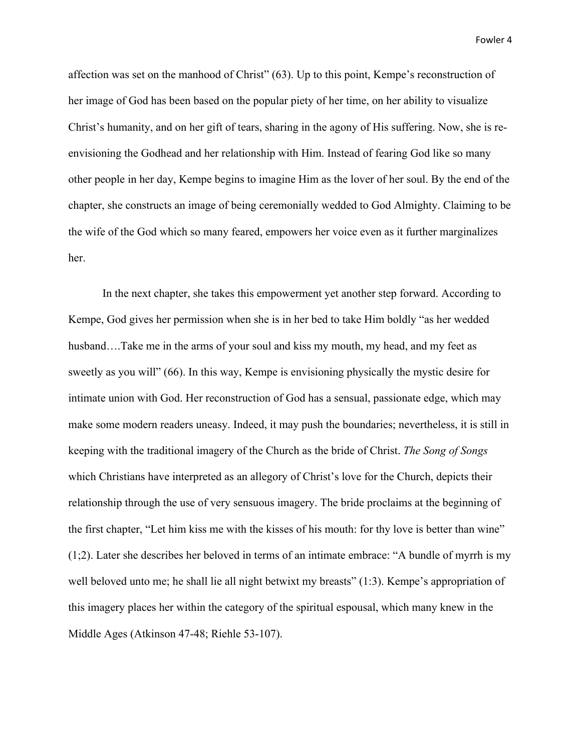affection was set on the manhood of Christ" (63). Up to this point, Kempe's reconstruction of her image of God has been based on the popular piety of her time, on her ability to visualize Christ's humanity, and on her gift of tears, sharing in the agony of His suffering. Now, she is reenvisioning the Godhead and her relationship with Him. Instead of fearing God like so many other people in her day, Kempe begins to imagine Him as the lover of her soul. By the end of the chapter, she constructs an image of being ceremonially wedded to God Almighty. Claiming to be the wife of the God which so many feared, empowers her voice even as it further marginalizes her.

In the next chapter, she takes this empowerment yet another step forward. According to Kempe, God gives her permission when she is in her bed to take Him boldly "as her wedded husband....Take me in the arms of your soul and kiss my mouth, my head, and my feet as sweetly as you will" (66). In this way, Kempe is envisioning physically the mystic desire for intimate union with God. Her reconstruction of God has a sensual, passionate edge, which may make some modern readers uneasy. Indeed, it may push the boundaries; nevertheless, it is still in keeping with the traditional imagery of the Church as the bride of Christ. *The Song of Songs* which Christians have interpreted as an allegory of Christ's love for the Church, depicts their relationship through the use of very sensuous imagery. The bride proclaims at the beginning of the first chapter, "Let him kiss me with the kisses of his mouth: for thy love is better than wine" (1;2). Later she describes her beloved in terms of an intimate embrace: "A bundle of myrrh is my well beloved unto me; he shall lie all night betwixt my breasts" (1:3). Kempe's appropriation of this imagery places her within the category of the spiritual espousal, which many knew in the Middle Ages (Atkinson 47-48; Riehle 53-107).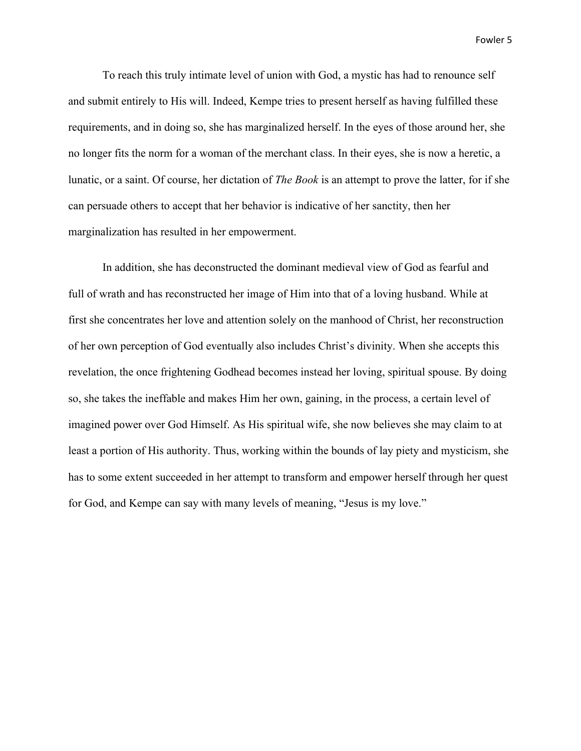To reach this truly intimate level of union with God, a mystic has had to renounce self and submit entirely to His will. Indeed, Kempe tries to present herself as having fulfilled these requirements, and in doing so, she has marginalized herself. In the eyes of those around her, she no longer fits the norm for a woman of the merchant class. In their eyes, she is now a heretic, a lunatic, or a saint. Of course, her dictation of *The Book* is an attempt to prove the latter, for if she can persuade others to accept that her behavior is indicative of her sanctity, then her marginalization has resulted in her empowerment.

In addition, she has deconstructed the dominant medieval view of God as fearful and full of wrath and has reconstructed her image of Him into that of a loving husband. While at first she concentrates her love and attention solely on the manhood of Christ, her reconstruction of her own perception of God eventually also includes Christ's divinity. When she accepts this revelation, the once frightening Godhead becomes instead her loving, spiritual spouse. By doing so, she takes the ineffable and makes Him her own, gaining, in the process, a certain level of imagined power over God Himself. As His spiritual wife, she now believes she may claim to at least a portion of His authority. Thus, working within the bounds of lay piety and mysticism, she has to some extent succeeded in her attempt to transform and empower herself through her quest for God, and Kempe can say with many levels of meaning, "Jesus is my love."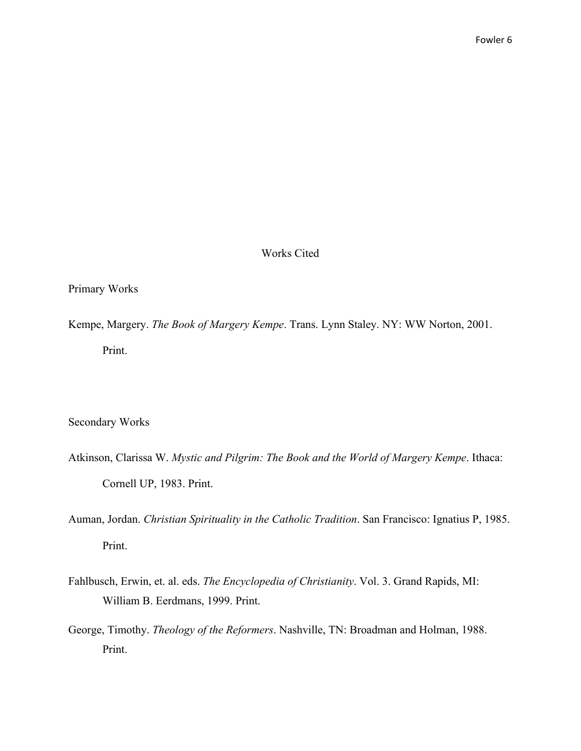## Works Cited

## Primary Works

Kempe, Margery. *The Book of Margery Kempe*. Trans. Lynn Staley. NY: WW Norton, 2001. Print.

Secondary Works

- Atkinson, Clarissa W. *Mystic and Pilgrim: The Book and the World of Margery Kempe*. Ithaca: Cornell UP, 1983. Print.
- Auman, Jordan. *Christian Spirituality in the Catholic Tradition*. San Francisco: Ignatius P, 1985. Print.
- Fahlbusch, Erwin, et. al. eds. *The Encyclopedia of Christianity*. Vol. 3. Grand Rapids, MI: William B. Eerdmans, 1999. Print.
- George, Timothy. *Theology of the Reformers*. Nashville, TN: Broadman and Holman, 1988. Print.